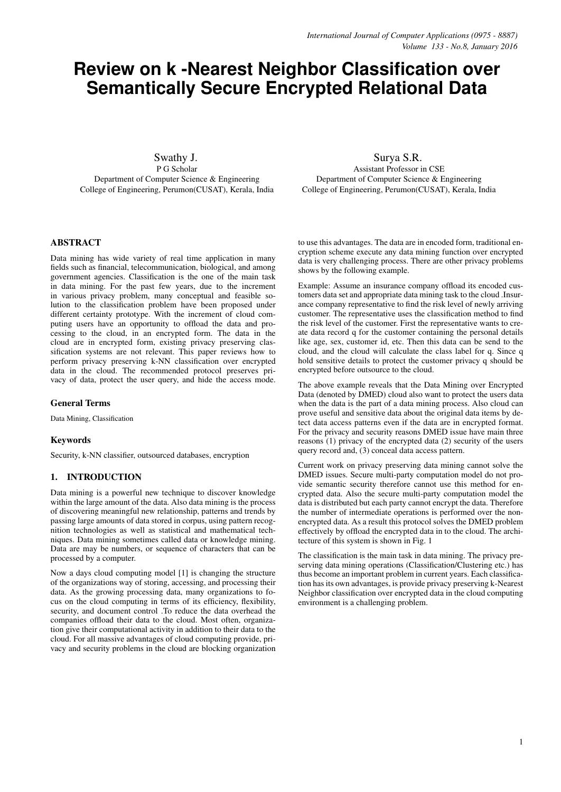# **Review on k -Nearest Neighbor Classification over Semantically Secure Encrypted Relational Data**

Swathy J. P G Scholar Department of Computer Science & Engineering College of Engineering, Perumon(CUSAT), Kerala, India

ABSTRACT

Data mining has wide variety of real time application in many fields such as financial, telecommunication, biological, and among government agencies. Classification is the one of the main task in data mining. For the past few years, due to the increment in various privacy problem, many conceptual and feasible solution to the classification problem have been proposed under different certainty prototype. With the increment of cloud computing users have an opportunity to offload the data and processing to the cloud, in an encrypted form. The data in the cloud are in encrypted form, existing privacy preserving classification systems are not relevant. This paper reviews how to perform privacy preserving k-NN classification over encrypted data in the cloud. The recommended protocol preserves privacy of data, protect the user query, and hide the access mode.

#### General Terms

Data Mining, Classification

#### Keywords

Security, k-NN classifier, outsourced databases, encryption

### 1. INTRODUCTION

Data mining is a powerful new technique to discover knowledge within the large amount of the data. Also data mining is the process of discovering meaningful new relationship, patterns and trends by passing large amounts of data stored in corpus, using pattern recognition technologies as well as statistical and mathematical techniques. Data mining sometimes called data or knowledge mining. Data are may be numbers, or sequence of characters that can be processed by a computer.

Now a days cloud computing model [1] is changing the structure of the organizations way of storing, accessing, and processing their data. As the growing processing data, many organizations to focus on the cloud computing in terms of its efficiency, flexibility, security, and document control .To reduce the data overhead the companies offload their data to the cloud. Most often, organization give their computational activity in addition to their data to the cloud. For all massive advantages of cloud computing provide, privacy and security problems in the cloud are blocking organization

Surya S.R. Assistant Professor in CSE Department of Computer Science & Engineering College of Engineering, Perumon(CUSAT), Kerala, India

to use this advantages. The data are in encoded form, traditional encryption scheme execute any data mining function over encrypted data is very challenging process. There are other privacy problems shows by the following example.

Example: Assume an insurance company offload its encoded customers data set and appropriate data mining task to the cloud .Insurance company representative to find the risk level of newly arriving customer. The representative uses the classification method to find the risk level of the customer. First the representative wants to create data record q for the customer containing the personal details like age, sex, customer id, etc. Then this data can be send to the cloud, and the cloud will calculate the class label for q. Since q hold sensitive details to protect the customer privacy q should be encrypted before outsource to the cloud.

The above example reveals that the Data Mining over Encrypted Data (denoted by DMED) cloud also want to protect the users data when the data is the part of a data mining process. Also cloud can prove useful and sensitive data about the original data items by detect data access patterns even if the data are in encrypted format. For the privacy and security reasons DMED issue have main three reasons (1) privacy of the encrypted data (2) security of the users query record and, (3) conceal data access pattern.

Current work on privacy preserving data mining cannot solve the DMED issues. Secure multi-party computation model do not provide semantic security therefore cannot use this method for encrypted data. Also the secure multi-party computation model the data is distributed but each party cannot encrypt the data. Therefore the number of intermediate operations is performed over the nonencrypted data. As a result this protocol solves the DMED problem effectively by offload the encrypted data in to the cloud. The architecture of this system is shown in Fig. 1

The classification is the main task in data mining. The privacy preserving data mining operations (Classification/Clustering etc.) has thus become an important problem in current years. Each classification has its own advantages, is provide privacy preserving k-Nearest Neighbor classification over encrypted data in the cloud computing environment is a challenging problem.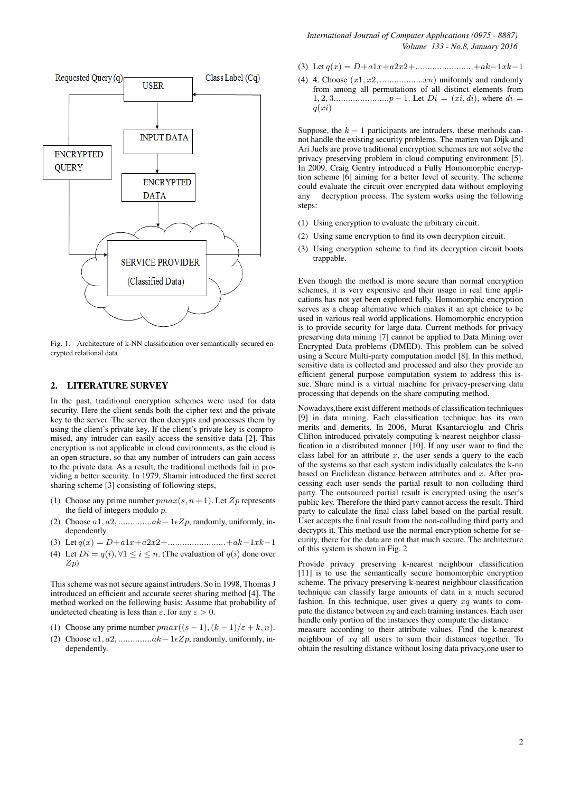

Fig. 1. Architecture of k-NN classification over semantically secured encrypted relational data

## 2. LITERATURE SURVEY

In the past, traditional encryption schemes were used for data security. Here the client sends both the cipher text and the private key to the server. The server then decrypts and processes them by using the client's private key. If the client's private key is compromised, any intruder can easily access the sensitive data [2]. This encryption is not applicable in cloud environments, as the cloud is an open structure, so that any number of intruders can gain access to the private data. As a result, the traditional methods fail in providing a better security. In 1979, Shamir introduced the first secret sharing scheme [3] consisting of following steps,

- (1) Choose any prime number  $pmax(s, n + 1)$ . Let  $Zp$  represents the field of integers modulo  $p$ .
- (2) Choose  $a1, a2, \ldots, a k-1\varepsilon Zp$ , randomly, uniformly, independently.
- (3) Let  $q(x) = D + a1x + a2x2 + \dots + ak 1xk 1$
- (4) Let  $Di = q(i)$ ,  $\forall 1 \leq i \leq n$ . (The evaluation of  $q(i)$  done over Zp)

This scheme was not secure against intruders. So in 1998, Thomas J introduced an efficient and accurate secret sharing method [4]. The method worked on the following basis: Assume that probability of undetected cheating is less than  $\varepsilon$ , for any  $\varepsilon > 0$ .

- (1) Choose any prime number  $pmax((s-1),(k-1)/\varepsilon+k,n)$ .
- (2) Choose  $a1, a2, \ldots, a k-1\varepsilon Zp$ , randomly, uniformly, independently.
- (3) Let  $q(x) = D + a1x + a2x2 + \dots + ak 1xk 1$
- (4) 4. Choose  $(x_1, x_2, \ldots, x_n)$  uniformly and randomly from among all permutations of all distinct elements from 1, 2, 3.......................p − 1. Let Di = (xi, di), where di =  $q(xi)$

Suppose, the  $k - 1$  participants are intruders, these methods cannot handle the existing security problems. The marten van Dijk and Ari Juels are prove traditional encryption schemes are not solve the privacy preserving problem in cloud computing environment [5]. In 2009, Craig Gentry introduced a Fully Homomorphic encryption scheme [6] aiming for a better level of security. The scheme could evaluate the circuit over encrypted data without employing any decryption process. The system works using the following steps:

- (1) Using encryption to evaluate the arbitrary circuit.
- (2) Using same encryption to find its own decryption circuit.
- (3) Using encryption scheme to find its decryption circuit boots trappable.

Even though the method is more secure than normal encryption schemes, it is very expensive and their usage in real time applications has not yet been explored fully. Homomorphic encryption serves as a cheap alternative which makes it an apt choice to be used in various real world applications. Homomorphic encryption is to provide security for large data. Current methods for privacy preserving data mining [7] cannot be applied to Data Mining over Encrypted Data problems (DMED). This problem can be solved using a Secure Multi-party computation model [8]. In this method, sensitive data is collected and processed and also they provide an efficient general purpose computation system to address this issue. Share mind is a virtual machine for privacy-preserving data processing that depends on the share computing method.

Nowadays,there exist different methods of classification techniques [9] in data mining. Each classification technique has its own merits and demerits. In 2006, Murat Ksantarcioglu and Chris Clifton introduced privately computing k-nearest neighbor classification in a distributed manner [10]. If any user want to find the class label for an attribute  $x$ , the user sends a query to the each of the systems so that each system individually calculates the k-nn based on Euclidean distance between attributes and  $x$ . After processing each user sends the partial result to non colluding third party. The outsourced partial result is encrypted using the user's public key. Therefore the third party cannot access the result. Third party to calculate the final class label based on the partial result. User accepts the final result from the non-colluding third party and decrypts it. This method use the normal encryption scheme for security, there for the data are not that much secure. The architecture of this system is shown in Fig. 2

Provide privacy preserving k-nearest neighbour classification [11] is to use the semantically secure homomorphic encryption scheme. The privacy preserving k-nearest neighbour classification technique can classify large amounts of data in a much secured fashion. In this technique, user gives a query  $xq$  wants to compute the distance between  $xq$  and each training instances. Each user handle only portion of the instances they compute the distance

measure according to their attribute values. Find the k-nearest neighbour of  $xq$  all users to sum their distances together. To obtain the resulting distance without losing data privacy,one user to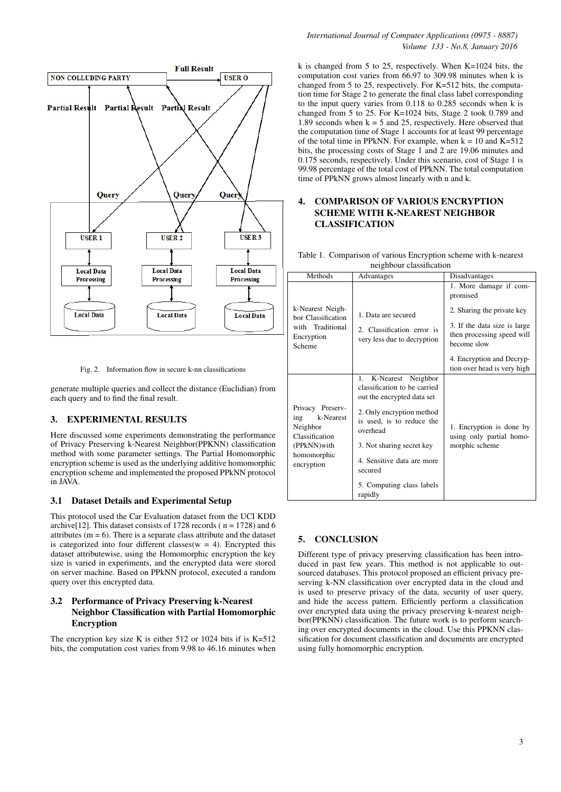

Fig. 2. Information flow in secure k-nn classifications

generate multiple queries and collect the distance (Euclidian) from each query and to find the final result.

## 3. EXPERIMENTAL RESULTS

Here discussed some experiments demonstrating the performance of Privacy Preserving k-Nearest Neighbor(PPKNN) classification method with some parameter settings. The Partial Homomorphic encryption scheme is used as the underlying additive homomorphic encryption scheme and implemented the proposed PPkNN protocol in JAVA.

#### 3.1 Dataset Details and Experimental Setup

This protocol used the Car Evaluation dataset from the UCI KDD archive<sup>[12]</sup>. This dataset consists of 1728 records ( $n = 1728$ ) and 6 attributes ( $m = 6$ ). There is a separate class attribute and the dataset is categorized into four different classes  $(w = 4)$ . Encrypted this dataset attributewise, using the Homomorphic encryption the key size is varied in experiments, and the encrypted data were stored on server machine. Based on PPkNN protocol, executed a random query over this encrypted data.

## 3.2 Performance of Privacy Preserving k-Nearest Neighbor Classification with Partial Homomorphic Encryption

The encryption key size K is either  $512$  or  $1024$  bits if is K= $512$ bits, the computation cost varies from 9.98 to 46.16 minutes when

k is changed from 5 to 25, respectively. When K=1024 bits, the computation cost varies from 66.97 to 309.98 minutes when k is changed from 5 to 25, respectively. For K=512 bits, the computation time for Stage 2 to generate the final class label corresponding to the input query varies from 0.118 to 0.285 seconds when k is changed from 5 to 25. For K=1024 bits, Stage 2 took 0.789 and 1.89 seconds when  $k = 5$  and 25, respectively. Here observed that the computation time of Stage 1 accounts for at least 99 percentage of the total time in PPkNN. For example, when  $k = 10$  and  $K=512$ bits, the processing costs of Stage 1 and 2 are 19.06 minutes and 0.175 seconds, respectively. Under this scenario, cost of Stage 1 is 99.98 percentage of the total cost of PPkNN. The total computation time of PPkNN grows almost linearly with n and k.

# 4. COMPARISON OF VARIOUS ENCRYPTION SCHEME WITH K-NEAREST NEIGHBOR CLASSIFICATION

Table 1. Comparison of various Encryption scheme with k-nearest neighbour classification

| Methods                                                                                                         | Advantages                                                                                                                                                                                                                                                                             | Disadvantages                                                                                                                                                                                             |
|-----------------------------------------------------------------------------------------------------------------|----------------------------------------------------------------------------------------------------------------------------------------------------------------------------------------------------------------------------------------------------------------------------------------|-----------------------------------------------------------------------------------------------------------------------------------------------------------------------------------------------------------|
| k-Nearest Neigh-<br>bor Classification<br>with Traditional<br>Encryption<br>Scheme                              | 1. Data are secured<br>2. Classification error is<br>very less due to decryption                                                                                                                                                                                                       | 1. More damage if com-<br>promised<br>2. Sharing the private key<br>3. If the data size is large<br>then processing speed will<br>become slow<br>4. Encryption and Decryp-<br>tion over head is very high |
| Privacy Preserv-<br>k-Nearest<br>ing<br>Neighbor<br>Classification<br>(PPkNN) with<br>homomorphic<br>encryption | $\mathbf{1}$ .<br>K-Nearest Neighbor<br>classification to be carried<br>out the encrypted data set<br>2. Only encryption method<br>is used, is to reduce the<br>overhead<br>3. Not sharing secret key<br>4. Sensitive data are more<br>secured<br>5. Computing class labels<br>rapidly | 1. Encryption is done by<br>using only partial homo-<br>morphic scheme                                                                                                                                    |

## 5. CONCLUSION

Different type of privacy preserving classification has been introduced in past few years. This method is not applicable to outsourced databases. This protocol proposed an efficient privacy preserving k-NN classification over encrypted data in the cloud and is used to preserve privacy of the data, security of user query, and hide the access pattern. Efficiently perform a classification over encrypted data using the privacy preserving k-nearest neighbor(PPKNN) classification. The future work is to perform searching over encrypted documents in the cloud. Use this PPKNN classification for document classification and documents are encrypted using fully homomorphic encryption.